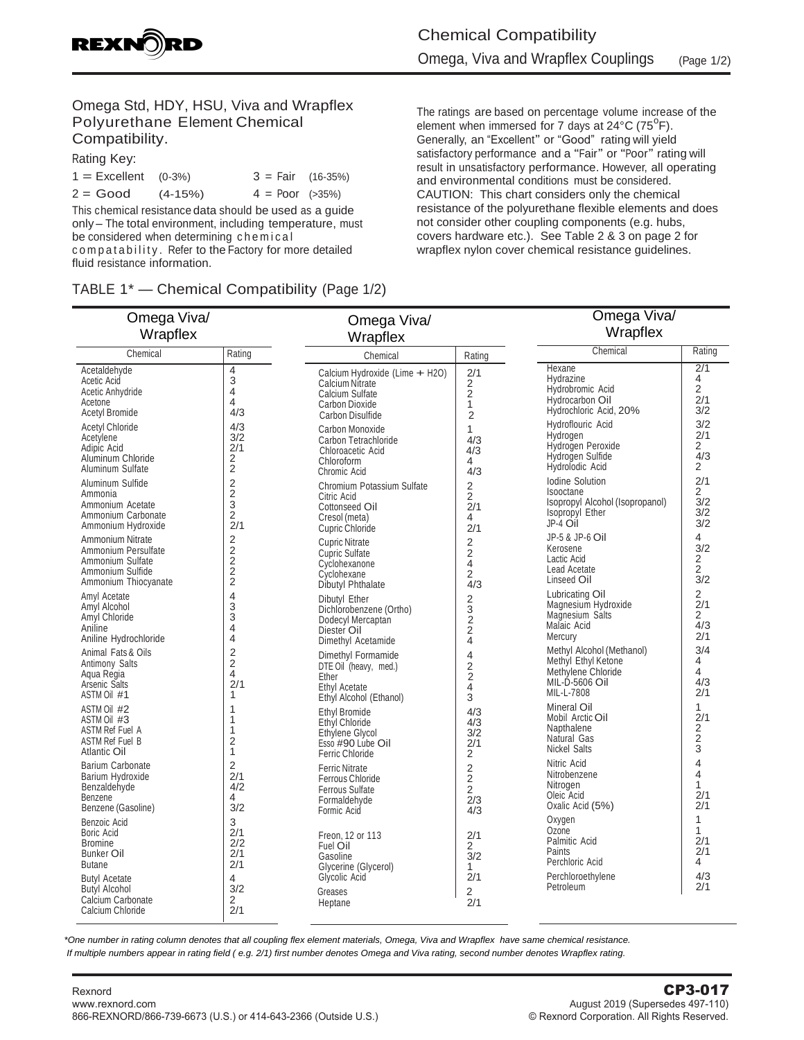

### Omega Std, HDY, HSU, Viva and Wrapflex Polyurethane Element Chemical Compatibility.

Rating Key:

| $1 =$ Excellent $(0-3\%)$ |           | $3 = Fair (16-35%)$      |  |
|---------------------------|-----------|--------------------------|--|
| $2 = Good$                | $(4-15%)$ | $4 = Poor \approx 35\%)$ |  |

This chemical resistance data should be used as a guide only – The total environment, including temperature, must be considered when determining chemical compatability. Refer to the Factory for more detailed fluid resistance information.

# TABLE 1\* — Chemical Compatibility (Page 1/2)

The ratings are based on percentage volume increase of the element when immersed for 7 days at  $24^{\circ}$ C (75 $^{\circ}$ F). Generally, an "Excellent" or "Good" rating will yield satisfactory performance and a "Fair" or "Poor" rating will result in unsatisfactory performance. However, all operating and environmental conditions must be considered. CAUTION: This chart considers only the chemical resistance of the polyurethane flexible elements and does not consider other coupling components (e.g. hubs, covers hardware etc.). See Table 2 & 3 on page 2 for wrapflex nylon cover chemical resistance guidelines.

| Omega Viva/<br>Wrapflex                                                                                       | Omega Viva/<br>Wrapflex                                                  |                                                                                                                          |                                                                  | Omega Viva/<br>Wrapflex                                                                                           |                                                              |
|---------------------------------------------------------------------------------------------------------------|--------------------------------------------------------------------------|--------------------------------------------------------------------------------------------------------------------------|------------------------------------------------------------------|-------------------------------------------------------------------------------------------------------------------|--------------------------------------------------------------|
| Chemical                                                                                                      | Rating                                                                   | Chemical                                                                                                                 | Rating                                                           | Chemical                                                                                                          | Rating                                                       |
| Acetaldehyde<br>Acetic Acid<br>Acetic Anhydride<br>Acetone<br><b>Acetyl Bromide</b><br><b>Acetyl Chloride</b> | 4<br>3<br>$\overline{4}$<br>4<br>4/3<br>4/3                              | Calcium Hydroxide (Lime + H2O)<br><b>Calcium Nitrate</b><br>Calcium Sulfate<br><b>Carbon Dioxide</b><br>Carbon Disulfide | 2/1<br>$\frac{2}{2}$<br>1<br>$\overline{2}$                      | <b>Hexane</b><br>Hydrazine<br>Hydrobromic Acid<br>Hydrocarbon Oil<br>Hydrochloric Acid, 20%<br>Hydroflouric Acid  | $\overline{2/1}$<br>4<br>$\overline{2}$<br>2/1<br>3/2<br>3/2 |
| Acetylene<br>Adipic Acid<br>Aluminum Chloride<br>Aluminum Sulfate                                             | 3/2<br>2/1<br>2<br>$\overline{c}$                                        | Carbon Monoxide<br>Carbon Tetrachloride<br>Chloroacetic Acid<br>Chloroform<br>Chromic Acid                               | 1<br>4/3<br>4/3<br>4<br>4/3                                      | Hydrogen<br>Hydrogen Peroxide<br>Hydrogen Sulfide<br>Hydrolodic Acid                                              | 2/1<br>2<br>4/3<br>$\overline{2}$                            |
| Aluminum Sulfide<br>Ammonia<br>Ammonium Acetate<br>Ammonium Carbonate<br>Ammonium Hydroxide                   | $\overline{c}$<br>$\begin{array}{c}\n2 \\ 3 \\ 2\n\end{array}$<br>2/1    | Chromium Potassium Sulfate<br>Citric Acid<br>Cottonseed Oil<br>Cresol (meta)<br><b>Cupric Chloride</b>                   | $\frac{2}{2}$<br>2/1<br>4<br>2/1                                 | Iodine Solution<br>Isooctane<br>Isopropyl Alcohol (Isopropanol)<br>Isopropyl Ether<br>JP-4 Oil<br>JP-5 & JP-6 Oil | 2/1<br>$\overline{2}$<br>3/2<br>3/2<br>3/2<br>4              |
| Ammonium Nitrate<br>Ammonium Persulfate<br>Ammonium Sulfate<br>Ammonium Sulfide<br>Ammonium Thiocyanate       | $\frac{2}{2}$<br>$\frac{2}{2}$<br>$\overline{2}$                         | <b>Cupric Nitrate</b><br><b>Cupric Sulfate</b><br>Cyclohexanone<br>Cyclohexane<br>Dibutyl Phthalate                      | $\overline{\mathbf{c}}$<br>$\overline{2}$<br>4<br>2<br>4/3       | Kerosene<br>Lactic Acid<br>Lead Acetate<br>Linseed Oil                                                            | 3/2<br>2<br>2<br>3/2                                         |
| Amyl Acetate<br>Amyl Alcohol<br>Amyl Chloride<br>Aniline<br>Aniline Hydrochloride                             | $\overline{4}$<br>3<br>3<br>$\overline{4}$<br>$\overline{4}$             | Dibutyl Ether<br>Dichlorobenzene (Ortho)<br>Dodecyl Mercaptan<br>Diester Oil<br>Dimethyl Acetamide                       | $\begin{array}{c} 2 \\ 3 \\ 2 \end{array}$<br>$\bar{2}$<br>4     | Lubricating Oil<br>Magnesium Hydroxide<br>Magnesium Salts<br>Malaic Acid<br>Mercury                               | 2<br>2/1<br>$\overline{2}$<br>4/3<br>2/1                     |
| Animal Fats & Oils<br>Antimony Salts<br>Agua Regia<br>Arsenic Salts<br>ASTM Oil #1                            | $\overline{2}$<br>$\overline{2}$<br>$\overline{\mathcal{L}}$<br>2/1<br>1 | Dimethyl Formamide<br>DTE Oil (heavy, med.)<br>Ether<br>Ethyl Acetate<br>Ethyl Alcohol (Ethanol)                         | 4<br>$\frac{2}{2}$<br>4<br>3                                     | Methyl Alcohol (Methanol)<br>Methyl Ethyl Ketone<br>Methylene Chloride<br>MIL-D-5606 Oil<br>MIL-L-7808            | 3/4<br>4<br>4<br>4/3<br>2/1                                  |
| ASTM Oil #2<br>ASTM Oil #3<br><b>ASTM Ref Fuel A</b><br>ASTM Ref Fuel B<br><b>Atlantic Oil</b>                | 1<br>1<br>$\mathbf{1}$<br>$\overline{2}$<br>$\mathbf{1}$                 | Ethyl Bromide<br><b>Ethyl Chloride</b><br>Ethylene Glycol<br>Esso #90 Lube Oil<br><b>Ferric Chloride</b>                 | 4/3<br>4/3<br>3/2<br>2/1<br>2                                    | <b>Mineral Oil</b><br>Mobil Arctic Oil<br>Napthalene<br>Natural Gas<br><b>Nickel Salts</b>                        | $\mathbf{1}$<br>2/1<br>2<br>2<br>3                           |
| <b>Barium Carbonate</b><br>Barium Hydroxide<br>Benzaldehyde<br>Benzene<br>Benzene (Gasoline)                  | 2<br>2/1<br>4/2<br>4<br>3/2                                              | <b>Ferric Nitrate</b><br>Ferrous Chloride<br><b>Ferrous Sulfate</b><br>Formaldehyde<br>Formic Acid                       | $\overline{2}$<br>$\overline{2}$<br>$\overline{2}$<br>2/3<br>4/3 | Nitric Acid<br>Nitrobenzene<br>Nitrogen<br>Oleic Acid<br>Oxalic Acid (5%)                                         | $\overline{\mathbf{4}}$<br>4<br>$\mathbf{1}$<br>2/1<br>2/1   |
| Benzoic Acid<br>Boric Acid<br><b>Bromine</b><br><b>Bunker Oil</b><br><b>Butane</b><br><b>Butyl Acetate</b>    | 3<br>2/1<br>2/2<br>2/1<br>2/1<br>$\overline{4}$                          | Freon. 12 or 113<br>Fuel Oil<br>Gasoline<br>Glycerine (Glycerol)<br>Glycolic Acid                                        | 2/1<br>2<br>3/2<br>1<br>2/1                                      | Oxygen<br>Ozone<br>Palmitic Acid<br>Paints<br>Perchloric Acid<br>Perchloroethylene                                | 1<br>1<br>2/1<br>2/1<br>4<br>4/3                             |
| <b>Butyl Alcohol</b><br>Calcium Carbonate<br>Calcium Chloride                                                 | 3/2<br>2<br>2/1                                                          | Greases<br>Heptane                                                                                                       | $\overline{2}$<br>2/1                                            | Petroleum                                                                                                         | 2/1                                                          |

*\*One number in rating column denotes that all coupling flex element materials, Omega, Viva and Wrapflex have same chemical resistance. If multiple numbers appear in rating field ( e.g. 2/1) first number denotes Omega and Viva rating, second number denotes Wrapflex rating.*